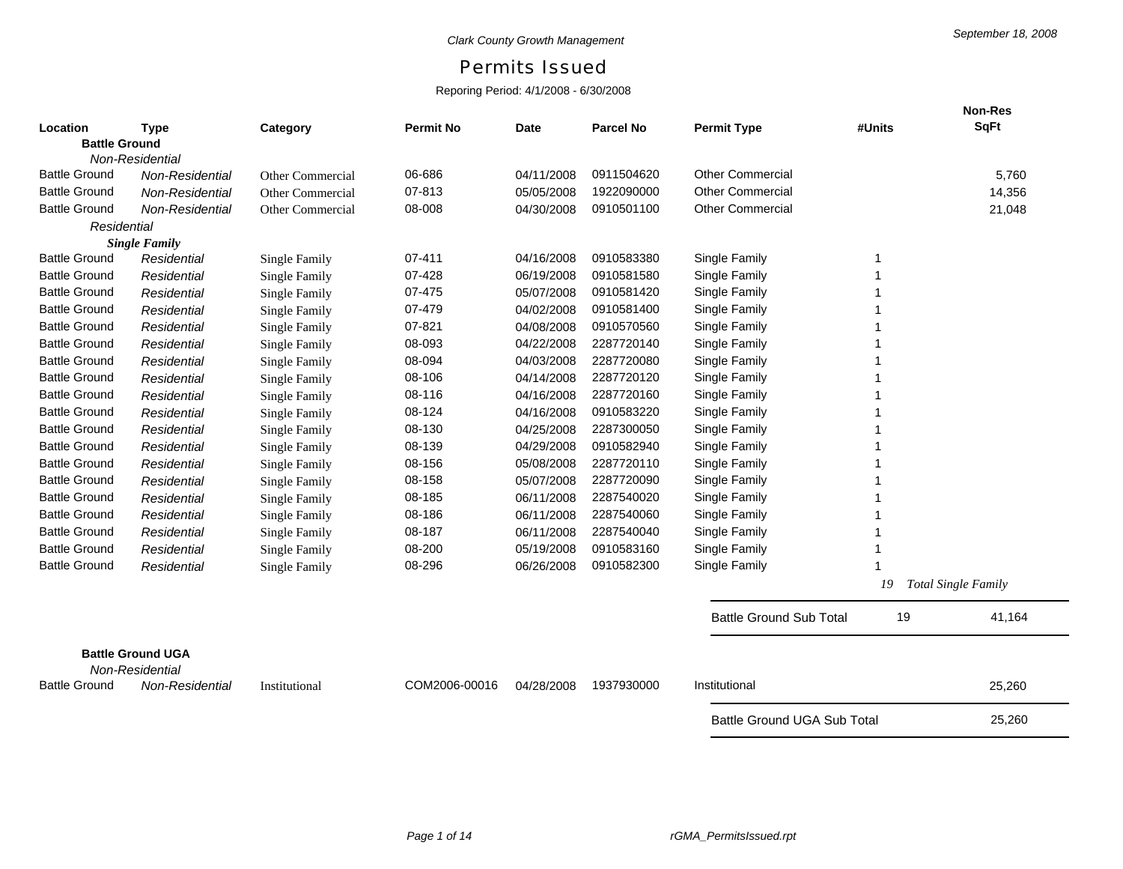## Permits Issued

## Reporing Period: 4/1/2008 - 6/30/2008

|                      |                                             |                         |                  |             |                  |                                |        | <b>Non-Res</b>             |
|----------------------|---------------------------------------------|-------------------------|------------------|-------------|------------------|--------------------------------|--------|----------------------------|
| Location             | <b>Type</b>                                 | Category                | <b>Permit No</b> | <b>Date</b> | <b>Parcel No</b> | <b>Permit Type</b>             | #Units | <b>SqFt</b>                |
| <b>Battle Ground</b> |                                             |                         |                  |             |                  |                                |        |                            |
|                      | <b>Non-Residential</b>                      |                         |                  |             |                  |                                |        |                            |
| <b>Battle Ground</b> | Non-Residential                             | <b>Other Commercial</b> | 06-686           | 04/11/2008  | 0911504620       | <b>Other Commercial</b>        |        | 5,760                      |
| <b>Battle Ground</b> | Non-Residential                             | Other Commercial        | 07-813           | 05/05/2008  | 1922090000       | <b>Other Commercial</b>        |        | 14,356                     |
| <b>Battle Ground</b> | Non-Residential                             | Other Commercial        | 08-008           | 04/30/2008  | 0910501100       | <b>Other Commercial</b>        |        | 21,048                     |
| Residential          |                                             |                         |                  |             |                  |                                |        |                            |
|                      | <b>Single Family</b>                        |                         |                  |             |                  |                                |        |                            |
| <b>Battle Ground</b> | Residential                                 | <b>Single Family</b>    | 07-411           | 04/16/2008  | 0910583380       | Single Family                  |        |                            |
| <b>Battle Ground</b> | Residential                                 | Single Family           | 07-428           | 06/19/2008  | 0910581580       | Single Family                  |        |                            |
| <b>Battle Ground</b> | Residential                                 | <b>Single Family</b>    | 07-475           | 05/07/2008  | 0910581420       | Single Family                  |        |                            |
| <b>Battle Ground</b> | Residential                                 | Single Family           | 07-479           | 04/02/2008  | 0910581400       | Single Family                  |        |                            |
| <b>Battle Ground</b> | Residential                                 | <b>Single Family</b>    | 07-821           | 04/08/2008  | 0910570560       | Single Family                  |        |                            |
| <b>Battle Ground</b> | Residential                                 | <b>Single Family</b>    | 08-093           | 04/22/2008  | 2287720140       | Single Family                  |        |                            |
| <b>Battle Ground</b> | Residential                                 | <b>Single Family</b>    | 08-094           | 04/03/2008  | 2287720080       | Single Family                  |        |                            |
| <b>Battle Ground</b> | Residential                                 | <b>Single Family</b>    | 08-106           | 04/14/2008  | 2287720120       | Single Family                  |        |                            |
| <b>Battle Ground</b> | Residential                                 | <b>Single Family</b>    | 08-116           | 04/16/2008  | 2287720160       | Single Family                  |        |                            |
| <b>Battle Ground</b> | Residential                                 | <b>Single Family</b>    | 08-124           | 04/16/2008  | 0910583220       | Single Family                  |        |                            |
| <b>Battle Ground</b> | Residential                                 | <b>Single Family</b>    | 08-130           | 04/25/2008  | 2287300050       | Single Family                  |        |                            |
| <b>Battle Ground</b> | Residential                                 | <b>Single Family</b>    | 08-139           | 04/29/2008  | 0910582940       | Single Family                  |        |                            |
| <b>Battle Ground</b> | Residential                                 | <b>Single Family</b>    | 08-156           | 05/08/2008  | 2287720110       | Single Family                  |        |                            |
| <b>Battle Ground</b> | Residential                                 | <b>Single Family</b>    | 08-158           | 05/07/2008  | 2287720090       | Single Family                  |        |                            |
| <b>Battle Ground</b> | Residential                                 | <b>Single Family</b>    | 08-185           | 06/11/2008  | 2287540020       | Single Family                  |        |                            |
| <b>Battle Ground</b> | Residential                                 | <b>Single Family</b>    | 08-186           | 06/11/2008  | 2287540060       | Single Family                  |        |                            |
| <b>Battle Ground</b> | Residential                                 | <b>Single Family</b>    | 08-187           | 06/11/2008  | 2287540040       | Single Family                  |        |                            |
| <b>Battle Ground</b> | Residential                                 | <b>Single Family</b>    | 08-200           | 05/19/2008  | 0910583160       | Single Family                  |        |                            |
| <b>Battle Ground</b> | Residential                                 | <b>Single Family</b>    | 08-296           | 06/26/2008  | 0910582300       | Single Family                  |        |                            |
|                      |                                             |                         |                  |             |                  |                                | 19     | <b>Total Single Family</b> |
|                      |                                             |                         |                  |             |                  | <b>Battle Ground Sub Total</b> | 19     | 41,164                     |
|                      |                                             |                         |                  |             |                  |                                |        |                            |
|                      | <b>Battle Ground UGA</b><br>Non-Residential |                         |                  |             |                  |                                |        |                            |
| <b>Battle Ground</b> | Non-Residential                             | Institutional           | COM2006-00016    | 04/28/2008  | 1937930000       | Institutional                  |        | 25,260                     |
|                      |                                             |                         |                  |             |                  | Battle Ground UGA Sub Total    |        | 25,260                     |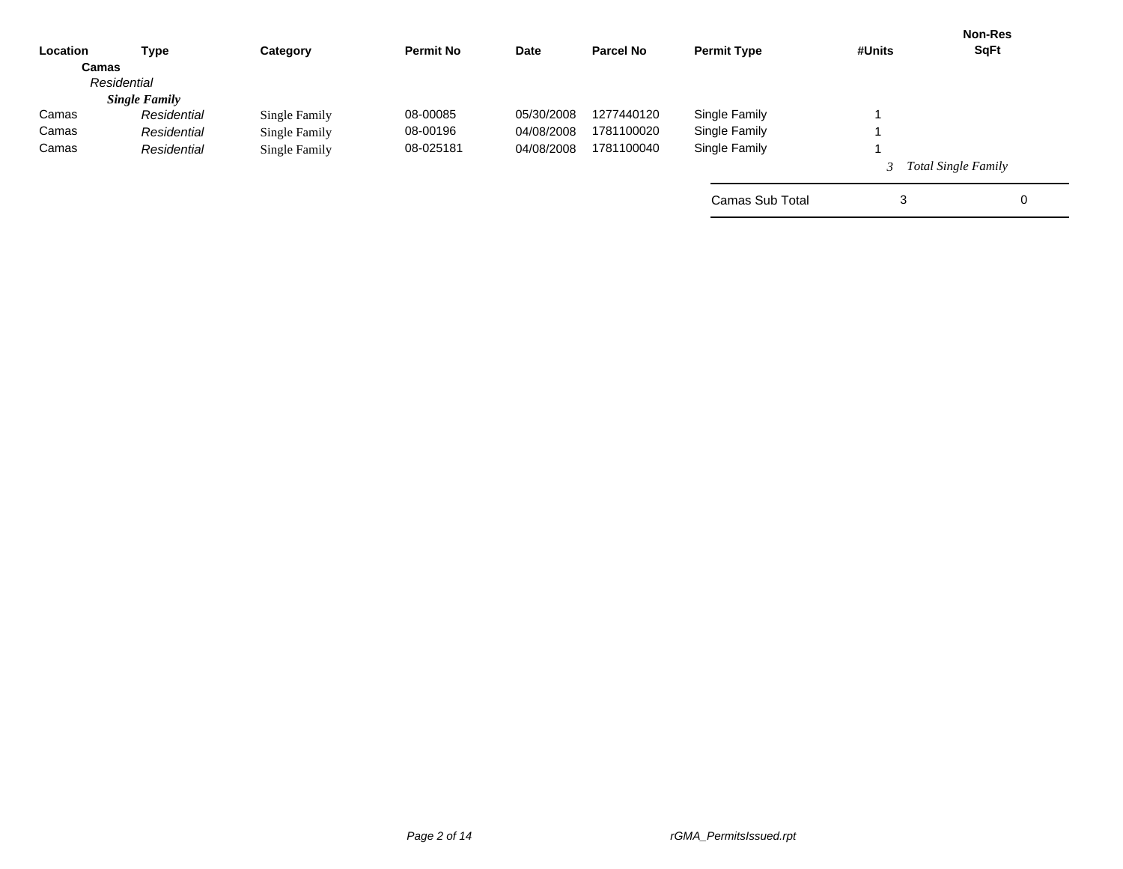| <b>Type</b>          | Category      | <b>Permit No</b> | Date       | <b>Parcel No</b> | <b>Permit Type</b> | #Units | <b>Non-Res</b><br><b>SqFt</b> |
|----------------------|---------------|------------------|------------|------------------|--------------------|--------|-------------------------------|
| Camas                |               |                  |            |                  |                    |        |                               |
| Residential          |               |                  |            |                  |                    |        |                               |
| <b>Single Family</b> |               |                  |            |                  |                    |        |                               |
| Residential          | Single Family | 08-00085         | 05/30/2008 | 1277440120       | Single Family      |        |                               |
| Residential          | Single Family | 08-00196         | 04/08/2008 | 1781100020       | Single Family      |        |                               |
| Residential          | Single Family | 08-025181        | 04/08/2008 | 1781100040       | Single Family      |        |                               |
|                      |               |                  |            |                  |                    |        | <b>Total Single Family</b>    |
|                      |               |                  |            |                  | Camas Sub Total    | 3      | 0                             |
|                      |               |                  |            |                  |                    |        |                               |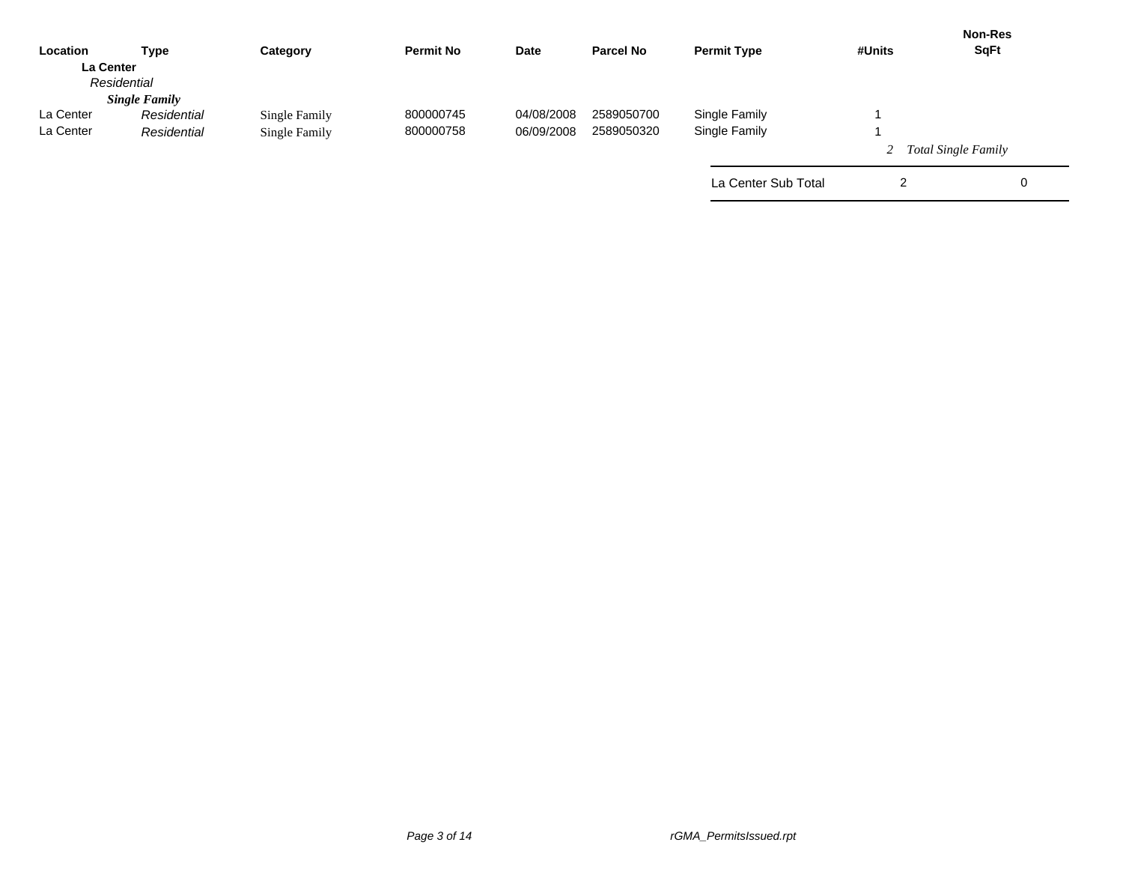| Location         | Type                 | Category      | <b>Permit No</b> | Date       | <b>Parcel No</b> | <b>Permit Type</b>  | #Units | <b>Non-Res</b><br><b>SqFt</b> |
|------------------|----------------------|---------------|------------------|------------|------------------|---------------------|--------|-------------------------------|
| <b>La Center</b> |                      |               |                  |            |                  |                     |        |                               |
|                  | Residential          |               |                  |            |                  |                     |        |                               |
|                  | <b>Single Family</b> |               |                  |            |                  |                     |        |                               |
| La Center        | Residential          | Single Family | 800000745        | 04/08/2008 | 2589050700       | Single Family       |        |                               |
| La Center        | Residential          | Single Family | 800000758        | 06/09/2008 | 2589050320       | Single Family       |        |                               |
|                  |                      |               |                  |            |                  |                     |        | <b>Total Single Family</b>    |
|                  |                      |               |                  |            |                  | La Center Sub Total | 2      | 0                             |
|                  |                      |               |                  |            |                  |                     |        |                               |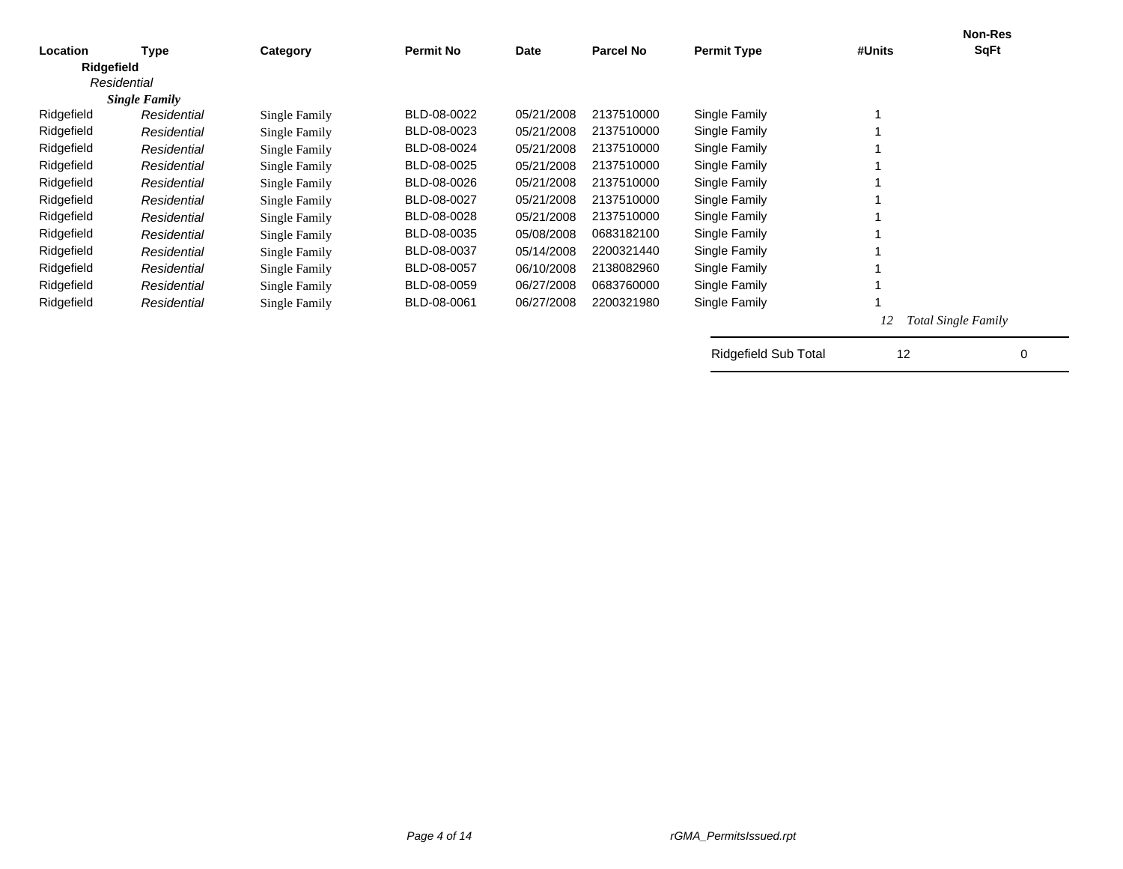|            |                      |               |                  |            |                  |                      |        | <b>Non-Res</b>      |
|------------|----------------------|---------------|------------------|------------|------------------|----------------------|--------|---------------------|
| Location   | Type                 | Category      | <b>Permit No</b> | Date       | <b>Parcel No</b> | <b>Permit Type</b>   | #Units | SqFt                |
| Ridgefield |                      |               |                  |            |                  |                      |        |                     |
|            | Residential          |               |                  |            |                  |                      |        |                     |
|            | <b>Single Family</b> |               |                  |            |                  |                      |        |                     |
| Ridgefield | Residential          | Single Family | BLD-08-0022      | 05/21/2008 | 2137510000       | Single Family        |        |                     |
| Ridgefield | Residential          | Single Family | BLD-08-0023      | 05/21/2008 | 2137510000       | Single Family        |        |                     |
| Ridgefield | Residential          | Single Family | BLD-08-0024      | 05/21/2008 | 2137510000       | Single Family        |        |                     |
| Ridgefield | Residential          | Single Family | BLD-08-0025      | 05/21/2008 | 2137510000       | Single Family        |        |                     |
| Ridgefield | Residential          | Single Family | BLD-08-0026      | 05/21/2008 | 2137510000       | Single Family        |        |                     |
| Ridgefield | Residential          | Single Family | BLD-08-0027      | 05/21/2008 | 2137510000       | Single Family        |        |                     |
| Ridgefield | Residential          | Single Family | BLD-08-0028      | 05/21/2008 | 2137510000       | Single Family        |        |                     |
| Ridgefield | Residential          | Single Family | BLD-08-0035      | 05/08/2008 | 0683182100       | Single Family        |        |                     |
| Ridgefield | Residential          | Single Family | BLD-08-0037      | 05/14/2008 | 2200321440       | Single Family        |        |                     |
| Ridgefield | Residential          | Single Family | BLD-08-0057      | 06/10/2008 | 2138082960       | Single Family        |        |                     |
| Ridgefield | Residential          | Single Family | BLD-08-0059      | 06/27/2008 | 0683760000       | Single Family        |        |                     |
| Ridgefield | Residential          | Single Family | BLD-08-0061      | 06/27/2008 | 2200321980       | Single Family        |        |                     |
|            |                      |               |                  |            |                  |                      | 12     | Total Single Family |
|            |                      |               |                  |            |                  | Ridgefield Sub Total | 12     | 0                   |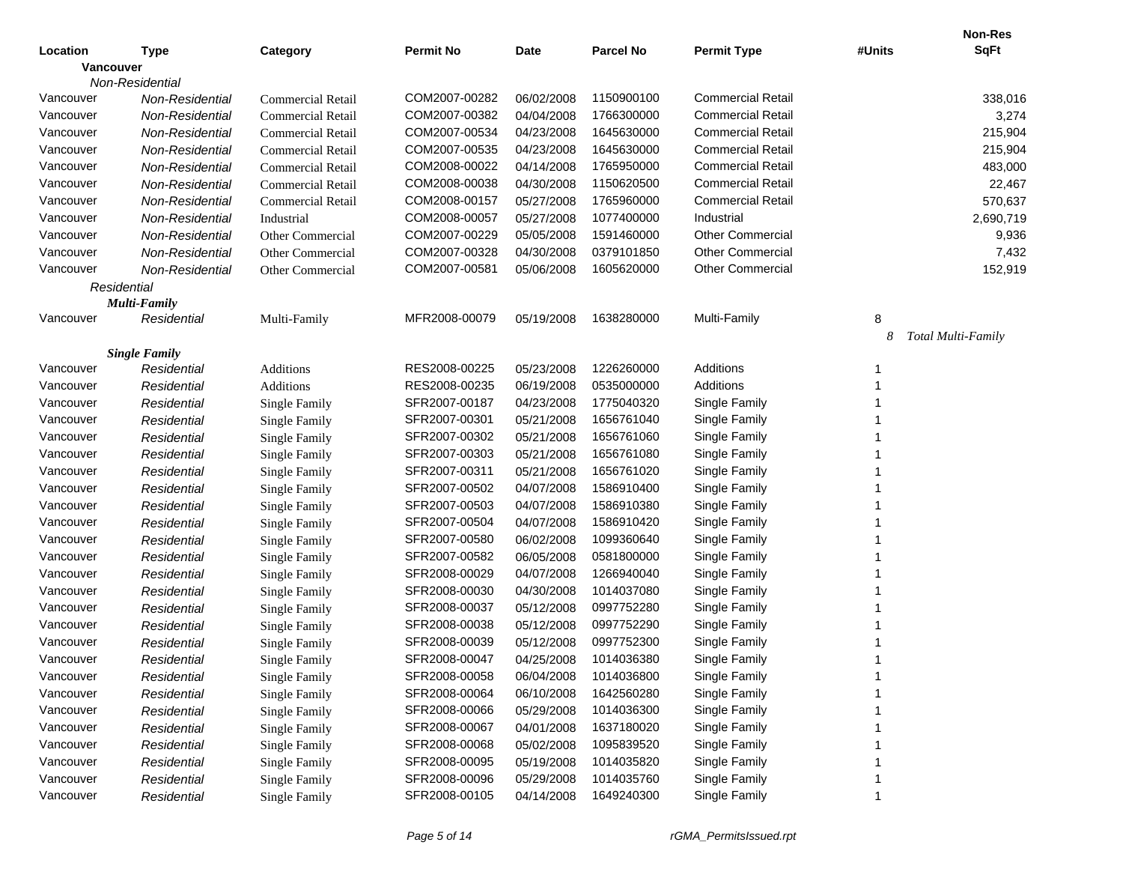|           |                      |                          |                  |             |                  |                          |        | <b>Non-Res</b>     |
|-----------|----------------------|--------------------------|------------------|-------------|------------------|--------------------------|--------|--------------------|
| Location  | <b>Type</b>          | Category                 | <b>Permit No</b> | <b>Date</b> | <b>Parcel No</b> | <b>Permit Type</b>       | #Units | <b>SqFt</b>        |
| Vancouver |                      |                          |                  |             |                  |                          |        |                    |
|           | Non-Residential      |                          |                  |             |                  |                          |        |                    |
| Vancouver | Non-Residential      | <b>Commercial Retail</b> | COM2007-00282    | 06/02/2008  | 1150900100       | <b>Commercial Retail</b> |        | 338,016            |
| Vancouver | Non-Residential      | <b>Commercial Retail</b> | COM2007-00382    | 04/04/2008  | 1766300000       | <b>Commercial Retail</b> |        | 3,274              |
| Vancouver | Non-Residential      | <b>Commercial Retail</b> | COM2007-00534    | 04/23/2008  | 1645630000       | <b>Commercial Retail</b> |        | 215,904            |
| Vancouver | Non-Residential      | <b>Commercial Retail</b> | COM2007-00535    | 04/23/2008  | 1645630000       | <b>Commercial Retail</b> |        | 215,904            |
| Vancouver | Non-Residential      | <b>Commercial Retail</b> | COM2008-00022    | 04/14/2008  | 1765950000       | <b>Commercial Retail</b> |        | 483,000            |
| Vancouver | Non-Residential      | <b>Commercial Retail</b> | COM2008-00038    | 04/30/2008  | 1150620500       | <b>Commercial Retail</b> |        | 22,467             |
| Vancouver | Non-Residential      | <b>Commercial Retail</b> | COM2008-00157    | 05/27/2008  | 1765960000       | <b>Commercial Retail</b> |        | 570,637            |
| Vancouver | Non-Residential      | Industrial               | COM2008-00057    | 05/27/2008  | 1077400000       | Industrial               |        | 2,690,719          |
| Vancouver | Non-Residential      | Other Commercial         | COM2007-00229    | 05/05/2008  | 1591460000       | <b>Other Commercial</b>  |        | 9,936              |
| Vancouver | Non-Residential      | Other Commercial         | COM2007-00328    | 04/30/2008  | 0379101850       | <b>Other Commercial</b>  |        | 7,432              |
| Vancouver | Non-Residential      | Other Commercial         | COM2007-00581    | 05/06/2008  | 1605620000       | <b>Other Commercial</b>  |        | 152,919            |
|           | Residential          |                          |                  |             |                  |                          |        |                    |
|           | Multi-Family         |                          |                  |             |                  |                          |        |                    |
| Vancouver | Residential          | Multi-Family             | MFR2008-00079    | 05/19/2008  | 1638280000       | Multi-Family             | 8      |                    |
|           |                      |                          |                  |             |                  |                          | 8      | Total Multi-Family |
|           | <b>Single Family</b> |                          |                  |             |                  |                          |        |                    |
| Vancouver | Residential          | Additions                | RES2008-00225    | 05/23/2008  | 1226260000       | Additions                |        |                    |
| Vancouver | Residential          | Additions                | RES2008-00235    | 06/19/2008  | 0535000000       | Additions                |        |                    |
| Vancouver | Residential          | Single Family            | SFR2007-00187    | 04/23/2008  | 1775040320       | Single Family            |        |                    |
| Vancouver | Residential          | <b>Single Family</b>     | SFR2007-00301    | 05/21/2008  | 1656761040       | Single Family            |        |                    |
| Vancouver | Residential          | <b>Single Family</b>     | SFR2007-00302    | 05/21/2008  | 1656761060       | Single Family            |        |                    |
| Vancouver | Residential          | <b>Single Family</b>     | SFR2007-00303    | 05/21/2008  | 1656761080       | Single Family            |        |                    |
| Vancouver | Residential          | <b>Single Family</b>     | SFR2007-00311    | 05/21/2008  | 1656761020       | Single Family            |        |                    |
| Vancouver | Residential          | Single Family            | SFR2007-00502    | 04/07/2008  | 1586910400       | Single Family            |        |                    |
| Vancouver | Residential          | Single Family            | SFR2007-00503    | 04/07/2008  | 1586910380       | Single Family            |        |                    |
| Vancouver | Residential          | <b>Single Family</b>     | SFR2007-00504    | 04/07/2008  | 1586910420       | Single Family            |        |                    |
| Vancouver | Residential          | Single Family            | SFR2007-00580    | 06/02/2008  | 1099360640       | Single Family            |        |                    |
| Vancouver | Residential          | Single Family            | SFR2007-00582    | 06/05/2008  | 0581800000       | Single Family            |        |                    |
| Vancouver | Residential          | <b>Single Family</b>     | SFR2008-00029    | 04/07/2008  | 1266940040       | Single Family            |        |                    |
| Vancouver | Residential          | <b>Single Family</b>     | SFR2008-00030    | 04/30/2008  | 1014037080       | Single Family            |        |                    |
| Vancouver | Residential          | <b>Single Family</b>     | SFR2008-00037    | 05/12/2008  | 0997752280       | Single Family            |        |                    |
| Vancouver | Residential          | Single Family            | SFR2008-00038    | 05/12/2008  | 0997752290       | Single Family            |        |                    |
| Vancouver | Residential          | Single Family            | SFR2008-00039    | 05/12/2008  | 0997752300       | Single Family            |        |                    |
| Vancouver | Residential          | <b>Single Family</b>     | SFR2008-00047    | 04/25/2008  | 1014036380       | Single Family            |        |                    |
| Vancouver | Residential          | Single Family            | SFR2008-00058    | 06/04/2008  | 1014036800       | Single Family            |        |                    |
| Vancouver | Residential          | Single Family            | SFR2008-00064    | 06/10/2008  | 1642560280       | Single Family            |        |                    |
| Vancouver | Residential          | Single Family            | SFR2008-00066    | 05/29/2008  | 1014036300       | Single Family            |        |                    |
| Vancouver | Residential          | Single Family            | SFR2008-00067    | 04/01/2008  | 1637180020       | Single Family            |        |                    |
| Vancouver | Residential          | Single Family            | SFR2008-00068    | 05/02/2008  | 1095839520       | Single Family            |        |                    |
| Vancouver | Residential          | Single Family            | SFR2008-00095    | 05/19/2008  | 1014035820       | Single Family            |        |                    |
| Vancouver | Residential          | <b>Single Family</b>     | SFR2008-00096    | 05/29/2008  | 1014035760       | Single Family            |        |                    |
| Vancouver | Residential          | Single Family            | SFR2008-00105    | 04/14/2008  | 1649240300       | Single Family            |        |                    |
|           |                      |                          |                  |             |                  |                          |        |                    |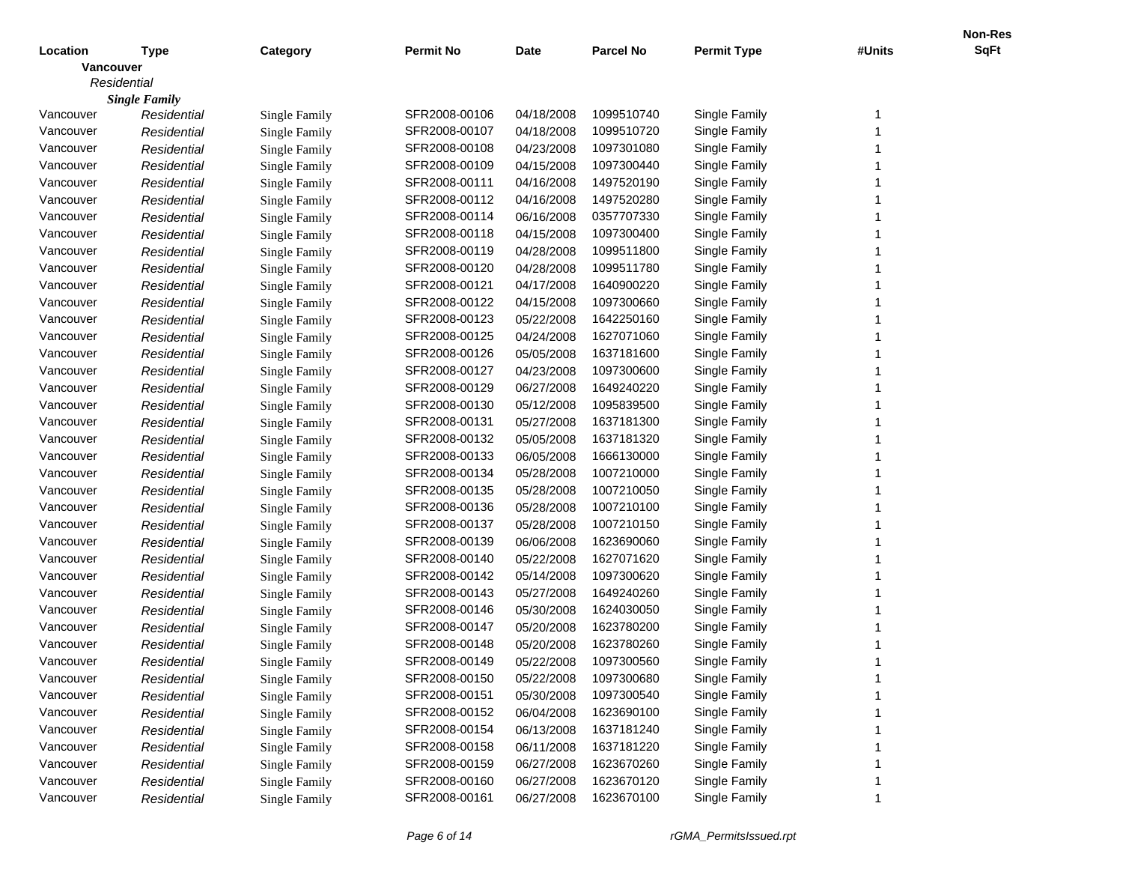|                  |                      |                      |                  |            |                  |                    |        | <b>Non-Res</b> |
|------------------|----------------------|----------------------|------------------|------------|------------------|--------------------|--------|----------------|
| Location         | <b>Type</b>          | Category             | <b>Permit No</b> | Date       | <b>Parcel No</b> | <b>Permit Type</b> | #Units | <b>SqFt</b>    |
| <b>Vancouver</b> |                      |                      |                  |            |                  |                    |        |                |
| Residential      |                      |                      |                  |            |                  |                    |        |                |
|                  | <b>Single Family</b> |                      |                  |            |                  |                    |        |                |
| Vancouver        | Residential          | Single Family        | SFR2008-00106    | 04/18/2008 | 1099510740       | Single Family      | -1     |                |
| Vancouver        | Residential          | <b>Single Family</b> | SFR2008-00107    | 04/18/2008 | 1099510720       | Single Family      |        |                |
| Vancouver        | Residential          | <b>Single Family</b> | SFR2008-00108    | 04/23/2008 | 1097301080       | Single Family      |        |                |
| Vancouver        | Residential          | <b>Single Family</b> | SFR2008-00109    | 04/15/2008 | 1097300440       | Single Family      |        |                |
| Vancouver        | Residential          | <b>Single Family</b> | SFR2008-00111    | 04/16/2008 | 1497520190       | Single Family      |        |                |
| Vancouver        | Residential          | <b>Single Family</b> | SFR2008-00112    | 04/16/2008 | 1497520280       | Single Family      |        |                |
| Vancouver        | Residential          | <b>Single Family</b> | SFR2008-00114    | 06/16/2008 | 0357707330       | Single Family      |        |                |
| Vancouver        | Residential          | <b>Single Family</b> | SFR2008-00118    | 04/15/2008 | 1097300400       | Single Family      |        |                |
| Vancouver        | Residential          | <b>Single Family</b> | SFR2008-00119    | 04/28/2008 | 1099511800       | Single Family      |        |                |
| Vancouver        | Residential          | <b>Single Family</b> | SFR2008-00120    | 04/28/2008 | 1099511780       | Single Family      |        |                |
| Vancouver        | Residential          | <b>Single Family</b> | SFR2008-00121    | 04/17/2008 | 1640900220       | Single Family      |        |                |
| Vancouver        | Residential          | Single Family        | SFR2008-00122    | 04/15/2008 | 1097300660       | Single Family      |        |                |
| Vancouver        | Residential          | <b>Single Family</b> | SFR2008-00123    | 05/22/2008 | 1642250160       | Single Family      |        |                |
| Vancouver        | Residential          | Single Family        | SFR2008-00125    | 04/24/2008 | 1627071060       | Single Family      |        |                |
| Vancouver        | Residential          | <b>Single Family</b> | SFR2008-00126    | 05/05/2008 | 1637181600       | Single Family      |        |                |
| Vancouver        | Residential          | <b>Single Family</b> | SFR2008-00127    | 04/23/2008 | 1097300600       | Single Family      |        |                |
| Vancouver        | Residential          | Single Family        | SFR2008-00129    | 06/27/2008 | 1649240220       | Single Family      |        |                |
| Vancouver        | Residential          | <b>Single Family</b> | SFR2008-00130    | 05/12/2008 | 1095839500       | Single Family      |        |                |
| Vancouver        | Residential          | Single Family        | SFR2008-00131    | 05/27/2008 | 1637181300       | Single Family      |        |                |
| Vancouver        | Residential          | <b>Single Family</b> | SFR2008-00132    | 05/05/2008 | 1637181320       | Single Family      |        |                |
| Vancouver        | Residential          | Single Family        | SFR2008-00133    | 06/05/2008 | 1666130000       | Single Family      |        |                |
| Vancouver        | Residential          | <b>Single Family</b> | SFR2008-00134    | 05/28/2008 | 1007210000       | Single Family      |        |                |
| Vancouver        | Residential          | Single Family        | SFR2008-00135    | 05/28/2008 | 1007210050       | Single Family      |        |                |
| Vancouver        | Residential          | <b>Single Family</b> | SFR2008-00136    | 05/28/2008 | 1007210100       | Single Family      |        |                |
| Vancouver        | Residential          | Single Family        | SFR2008-00137    | 05/28/2008 | 1007210150       | Single Family      |        |                |
| Vancouver        | Residential          | Single Family        | SFR2008-00139    | 06/06/2008 | 1623690060       | Single Family      |        |                |
| Vancouver        | Residential          | Single Family        | SFR2008-00140    | 05/22/2008 | 1627071620       | Single Family      |        |                |
| Vancouver        | Residential          | Single Family        | SFR2008-00142    | 05/14/2008 | 1097300620       | Single Family      |        |                |
| Vancouver        | Residential          | <b>Single Family</b> | SFR2008-00143    | 05/27/2008 | 1649240260       | Single Family      |        |                |
| Vancouver        | Residential          | Single Family        | SFR2008-00146    | 05/30/2008 | 1624030050       | Single Family      |        |                |
| Vancouver        | Residential          | <b>Single Family</b> | SFR2008-00147    | 05/20/2008 | 1623780200       | Single Family      |        |                |
| Vancouver        | Residential          | Single Family        | SFR2008-00148    | 05/20/2008 | 1623780260       | Single Family      |        |                |
| Vancouver        | Residential          | Single Family        | SFR2008-00149    | 05/22/2008 | 1097300560       | Single Family      |        |                |
| Vancouver        | Residential          | Single Family        | SFR2008-00150    | 05/22/2008 | 1097300680       | Single Family      |        |                |
| Vancouver        | Residential          | Single Family        | SFR2008-00151    | 05/30/2008 | 1097300540       | Single Family      |        |                |
| Vancouver        | Residential          | Single Family        | SFR2008-00152    | 06/04/2008 | 1623690100       | Single Family      |        |                |
| Vancouver        | Residential          | Single Family        | SFR2008-00154    | 06/13/2008 | 1637181240       | Single Family      |        |                |
| Vancouver        | Residential          | Single Family        | SFR2008-00158    | 06/11/2008 | 1637181220       | Single Family      |        |                |
| Vancouver        | Residential          | <b>Single Family</b> | SFR2008-00159    | 06/27/2008 | 1623670260       | Single Family      |        |                |
| Vancouver        | Residential          | Single Family        | SFR2008-00160    | 06/27/2008 | 1623670120       | Single Family      |        |                |
| Vancouver        |                      |                      | SFR2008-00161    | 06/27/2008 | 1623670100       | Single Family      |        |                |
|                  | Residential          | Single Family        |                  |            |                  |                    |        |                |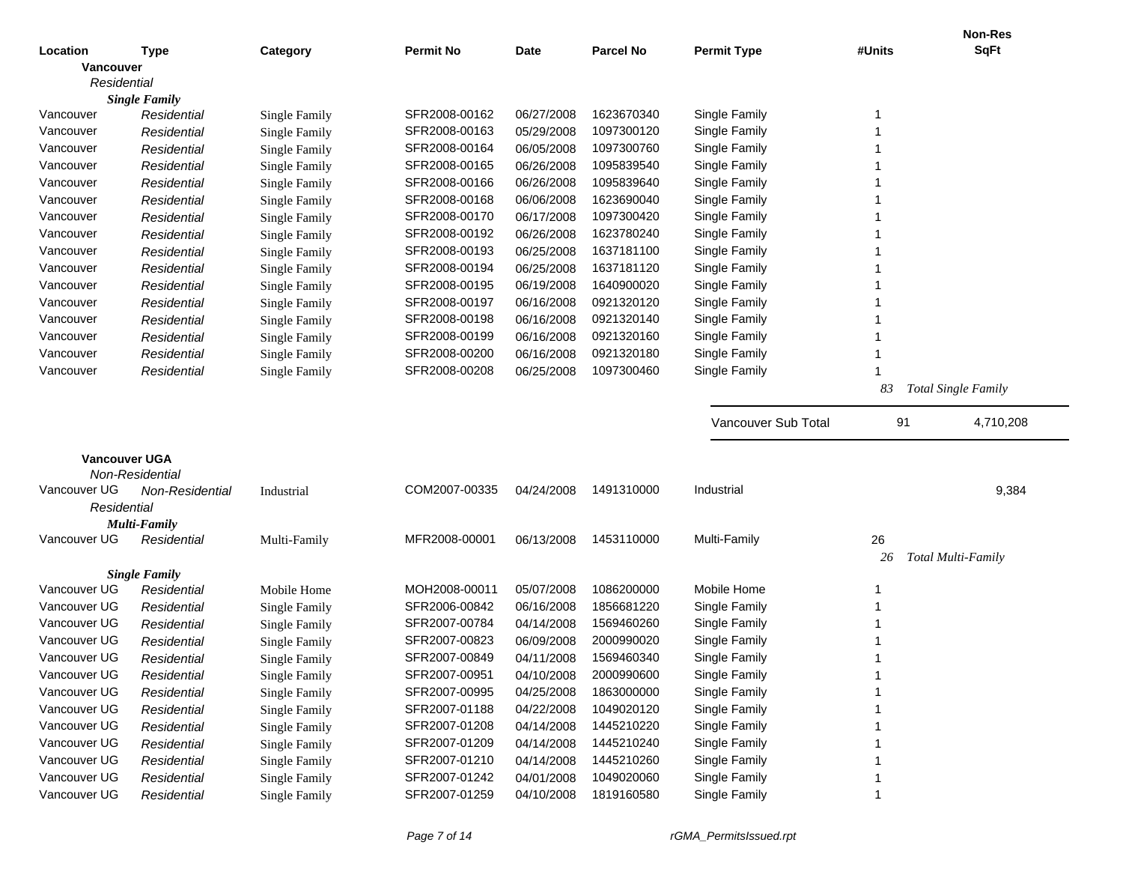|              |                                  |                      |                  |             |                  |                     |        | <b>Non-Res</b>             |
|--------------|----------------------------------|----------------------|------------------|-------------|------------------|---------------------|--------|----------------------------|
| Location     | <b>Type</b>                      | Category             | <b>Permit No</b> | <b>Date</b> | <b>Parcel No</b> | <b>Permit Type</b>  | #Units | <b>SqFt</b>                |
| Vancouver    |                                  |                      |                  |             |                  |                     |        |                            |
| Residential  |                                  |                      |                  |             |                  |                     |        |                            |
|              | <b>Single Family</b>             |                      |                  |             |                  |                     |        |                            |
| Vancouver    | Residential                      | <b>Single Family</b> | SFR2008-00162    | 06/27/2008  | 1623670340       | Single Family       | 1      |                            |
| Vancouver    | Residential                      | Single Family        | SFR2008-00163    | 05/29/2008  | 1097300120       | Single Family       | 1      |                            |
| Vancouver    | Residential                      | Single Family        | SFR2008-00164    | 06/05/2008  | 1097300760       | Single Family       | 1      |                            |
| Vancouver    | Residential                      | Single Family        | SFR2008-00165    | 06/26/2008  | 1095839540       | Single Family       | 1      |                            |
| Vancouver    | Residential                      | Single Family        | SFR2008-00166    | 06/26/2008  | 1095839640       | Single Family       | 1      |                            |
| Vancouver    | Residential                      | Single Family        | SFR2008-00168    | 06/06/2008  | 1623690040       | Single Family       | 1      |                            |
| Vancouver    | Residential                      | Single Family        | SFR2008-00170    | 06/17/2008  | 1097300420       | Single Family       | 1      |                            |
| Vancouver    | Residential                      | Single Family        | SFR2008-00192    | 06/26/2008  | 1623780240       | Single Family       | 1      |                            |
| Vancouver    | Residential                      | Single Family        | SFR2008-00193    | 06/25/2008  | 1637181100       | Single Family       | 1      |                            |
| Vancouver    | Residential                      | Single Family        | SFR2008-00194    | 06/25/2008  | 1637181120       | Single Family       | 1      |                            |
| Vancouver    | Residential                      | <b>Single Family</b> | SFR2008-00195    | 06/19/2008  | 1640900020       | Single Family       | 1      |                            |
| Vancouver    | Residential                      | <b>Single Family</b> | SFR2008-00197    | 06/16/2008  | 0921320120       | Single Family       |        |                            |
| Vancouver    | Residential                      | <b>Single Family</b> | SFR2008-00198    | 06/16/2008  | 0921320140       | Single Family       | 1      |                            |
| Vancouver    | Residential                      | <b>Single Family</b> | SFR2008-00199    | 06/16/2008  | 0921320160       | Single Family       | 1      |                            |
| Vancouver    | Residential                      | Single Family        | SFR2008-00200    | 06/16/2008  | 0921320180       | Single Family       | 1      |                            |
| Vancouver    | Residential                      | Single Family        | SFR2008-00208    | 06/25/2008  | 1097300460       | Single Family       | 1      |                            |
|              |                                  |                      |                  |             |                  |                     | 83     | <b>Total Single Family</b> |
|              |                                  |                      |                  |             |                  | Vancouver Sub Total | 91     | 4,710,208                  |
|              |                                  |                      |                  |             |                  |                     |        |                            |
|              | Vancouver UGA<br>Non-Residential |                      |                  |             |                  |                     |        |                            |
| Vancouver UG | Non-Residential                  | Industrial           | COM2007-00335    | 04/24/2008  | 1491310000       | Industrial          |        | 9,384                      |
| Residential  |                                  |                      |                  |             |                  |                     |        |                            |
|              | <b>Multi-Family</b>              |                      |                  |             |                  |                     |        |                            |
| Vancouver UG | Residential                      | Multi-Family         | MFR2008-00001    | 06/13/2008  | 1453110000       | Multi-Family        | 26     |                            |
|              |                                  |                      |                  |             |                  |                     | 26     | <b>Total Multi-Family</b>  |
|              | <b>Single Family</b>             |                      |                  |             |                  |                     |        |                            |
| Vancouver UG | Residential                      | Mobile Home          | MOH2008-00011    | 05/07/2008  | 1086200000       | Mobile Home         | 1      |                            |
| Vancouver UG | Residential                      | Single Family        | SFR2006-00842    | 06/16/2008  | 1856681220       | Single Family       |        |                            |
| Vancouver UG | Residential                      | <b>Single Family</b> | SFR2007-00784    | 04/14/2008  | 1569460260       | Single Family       |        |                            |
| Vancouver UG | Residential                      | Single Family        | SFR2007-00823    | 06/09/2008  | 2000990020       | Single Family       |        |                            |
| Vancouver UG | Residential                      | Single Family        | SFR2007-00849    | 04/11/2008  | 1569460340       | Single Family       |        |                            |
| Vancouver UG | Residential                      | <b>Single Family</b> | SFR2007-00951    | 04/10/2008  | 2000990600       | Single Family       |        |                            |
| Vancouver UG | Residential                      | <b>Single Family</b> | SFR2007-00995    | 04/25/2008  | 1863000000       | Single Family       |        |                            |
| Vancouver UG | Residential                      | <b>Single Family</b> | SFR2007-01188    | 04/22/2008  | 1049020120       | Single Family       |        |                            |
| Vancouver UG | Residential                      | <b>Single Family</b> | SFR2007-01208    | 04/14/2008  | 1445210220       | Single Family       |        |                            |
| Vancouver UG | Residential                      | <b>Single Family</b> | SFR2007-01209    | 04/14/2008  | 1445210240       | Single Family       |        |                            |
| Vancouver UG | Residential                      | <b>Single Family</b> | SFR2007-01210    | 04/14/2008  | 1445210260       | Single Family       |        |                            |
| Vancouver UG | Residential                      | <b>Single Family</b> | SFR2007-01242    | 04/01/2008  | 1049020060       | Single Family       |        |                            |
| Vancouver UG | Residential                      | <b>Single Family</b> | SFR2007-01259    | 04/10/2008  | 1819160580       | Single Family       | 1      |                            |
|              |                                  |                      |                  |             |                  |                     |        |                            |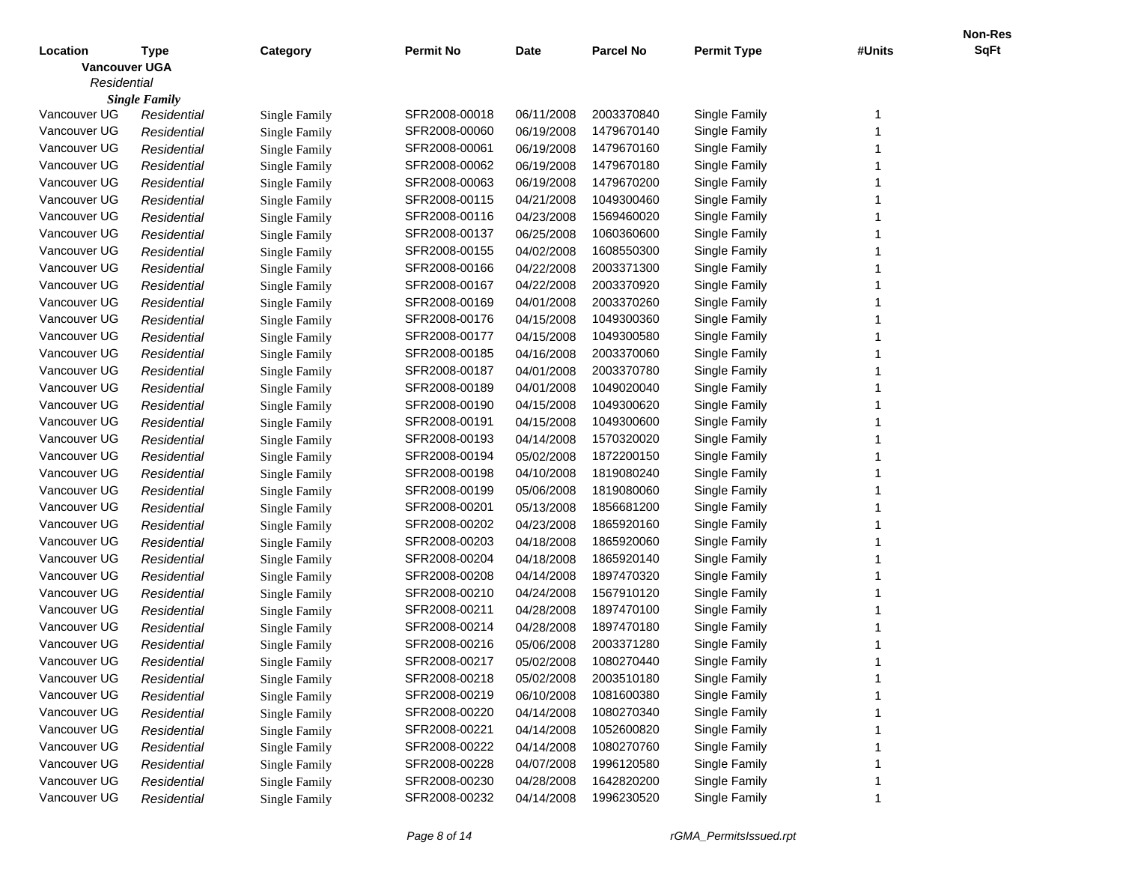|                      |                      |                      |                  |             |                  |                    |        | Non-Res     |
|----------------------|----------------------|----------------------|------------------|-------------|------------------|--------------------|--------|-------------|
| Location             | <b>Type</b>          | Category             | <b>Permit No</b> | <b>Date</b> | <b>Parcel No</b> | <b>Permit Type</b> | #Units | <b>SqFt</b> |
| <b>Vancouver UGA</b> |                      |                      |                  |             |                  |                    |        |             |
| Residential          |                      |                      |                  |             |                  |                    |        |             |
|                      | <b>Single Family</b> |                      |                  |             |                  |                    |        |             |
| Vancouver UG         | Residential          | Single Family        | SFR2008-00018    | 06/11/2008  | 2003370840       | Single Family      | -1     |             |
| Vancouver UG         | Residential          | <b>Single Family</b> | SFR2008-00060    | 06/19/2008  | 1479670140       | Single Family      |        |             |
| Vancouver UG         | Residential          | <b>Single Family</b> | SFR2008-00061    | 06/19/2008  | 1479670160       | Single Family      |        |             |
| Vancouver UG         | Residential          | <b>Single Family</b> | SFR2008-00062    | 06/19/2008  | 1479670180       | Single Family      |        |             |
| Vancouver UG         | Residential          | <b>Single Family</b> | SFR2008-00063    | 06/19/2008  | 1479670200       | Single Family      |        |             |
| Vancouver UG         | Residential          | <b>Single Family</b> | SFR2008-00115    | 04/21/2008  | 1049300460       | Single Family      |        |             |
| Vancouver UG         | Residential          | <b>Single Family</b> | SFR2008-00116    | 04/23/2008  | 1569460020       | Single Family      |        |             |
| Vancouver UG         | Residential          | <b>Single Family</b> | SFR2008-00137    | 06/25/2008  | 1060360600       | Single Family      |        |             |
| Vancouver UG         | Residential          | <b>Single Family</b> | SFR2008-00155    | 04/02/2008  | 1608550300       | Single Family      |        |             |
| Vancouver UG         | Residential          | <b>Single Family</b> | SFR2008-00166    | 04/22/2008  | 2003371300       | Single Family      |        |             |
| Vancouver UG         | Residential          | <b>Single Family</b> | SFR2008-00167    | 04/22/2008  | 2003370920       | Single Family      |        |             |
| Vancouver UG         | Residential          | <b>Single Family</b> | SFR2008-00169    | 04/01/2008  | 2003370260       | Single Family      |        |             |
| Vancouver UG         | Residential          | <b>Single Family</b> | SFR2008-00176    | 04/15/2008  | 1049300360       | Single Family      |        |             |
| Vancouver UG         | Residential          | <b>Single Family</b> | SFR2008-00177    | 04/15/2008  | 1049300580       | Single Family      |        |             |
| Vancouver UG         | Residential          | <b>Single Family</b> | SFR2008-00185    | 04/16/2008  | 2003370060       | Single Family      |        |             |
| Vancouver UG         | Residential          | <b>Single Family</b> | SFR2008-00187    | 04/01/2008  | 2003370780       | Single Family      |        |             |
| Vancouver UG         | Residential          | <b>Single Family</b> | SFR2008-00189    | 04/01/2008  | 1049020040       | Single Family      |        |             |
| Vancouver UG         | Residential          | <b>Single Family</b> | SFR2008-00190    | 04/15/2008  | 1049300620       | Single Family      |        |             |
| Vancouver UG         | Residential          | <b>Single Family</b> | SFR2008-00191    | 04/15/2008  | 1049300600       | Single Family      |        |             |
| Vancouver UG         | Residential          | <b>Single Family</b> | SFR2008-00193    | 04/14/2008  | 1570320020       | Single Family      |        |             |
| Vancouver UG         | Residential          | <b>Single Family</b> | SFR2008-00194    | 05/02/2008  | 1872200150       | Single Family      |        |             |
| Vancouver UG         | Residential          | <b>Single Family</b> | SFR2008-00198    | 04/10/2008  | 1819080240       | Single Family      |        |             |
| Vancouver UG         | Residential          | <b>Single Family</b> | SFR2008-00199    | 05/06/2008  | 1819080060       | Single Family      |        |             |
| Vancouver UG         | Residential          | <b>Single Family</b> | SFR2008-00201    | 05/13/2008  | 1856681200       | Single Family      |        |             |
| Vancouver UG         | Residential          | <b>Single Family</b> | SFR2008-00202    | 04/23/2008  | 1865920160       | Single Family      |        |             |
| Vancouver UG         | Residential          | <b>Single Family</b> | SFR2008-00203    | 04/18/2008  | 1865920060       | Single Family      |        |             |
| Vancouver UG         | Residential          | <b>Single Family</b> | SFR2008-00204    | 04/18/2008  | 1865920140       | Single Family      |        |             |
| Vancouver UG         | Residential          | <b>Single Family</b> | SFR2008-00208    | 04/14/2008  | 1897470320       | Single Family      |        |             |
| Vancouver UG         | Residential          | <b>Single Family</b> | SFR2008-00210    | 04/24/2008  | 1567910120       | Single Family      |        |             |
| Vancouver UG         | Residential          | <b>Single Family</b> | SFR2008-00211    | 04/28/2008  | 1897470100       | Single Family      |        |             |
| Vancouver UG         | Residential          | <b>Single Family</b> | SFR2008-00214    | 04/28/2008  | 1897470180       | Single Family      |        |             |
| Vancouver UG         | Residential          | <b>Single Family</b> | SFR2008-00216    | 05/06/2008  | 2003371280       | Single Family      |        |             |
| Vancouver UG         | Residential          | Single Family        | SFR2008-00217    | 05/02/2008  | 1080270440       | Single Family      |        |             |
| Vancouver UG         | Residential          | <b>Single Family</b> | SFR2008-00218    | 05/02/2008  | 2003510180       | Single Family      |        |             |
| Vancouver UG         | Residential          | Single Family        | SFR2008-00219    | 06/10/2008  | 1081600380       | Single Family      |        |             |
| Vancouver UG         | Residential          | Single Family        | SFR2008-00220    | 04/14/2008  | 1080270340       | Single Family      |        |             |
| Vancouver UG         | Residential          | Single Family        | SFR2008-00221    | 04/14/2008  | 1052600820       | Single Family      |        |             |
| Vancouver UG         | Residential          | Single Family        | SFR2008-00222    | 04/14/2008  | 1080270760       | Single Family      |        |             |
| Vancouver UG         | Residential          | Single Family        | SFR2008-00228    | 04/07/2008  | 1996120580       | Single Family      |        |             |
| Vancouver UG         | Residential          | <b>Single Family</b> | SFR2008-00230    | 04/28/2008  | 1642820200       | Single Family      |        |             |
| Vancouver UG         | Residential          | <b>Single Family</b> | SFR2008-00232    | 04/14/2008  | 1996230520       | Single Family      |        |             |
|                      |                      |                      |                  |             |                  |                    |        |             |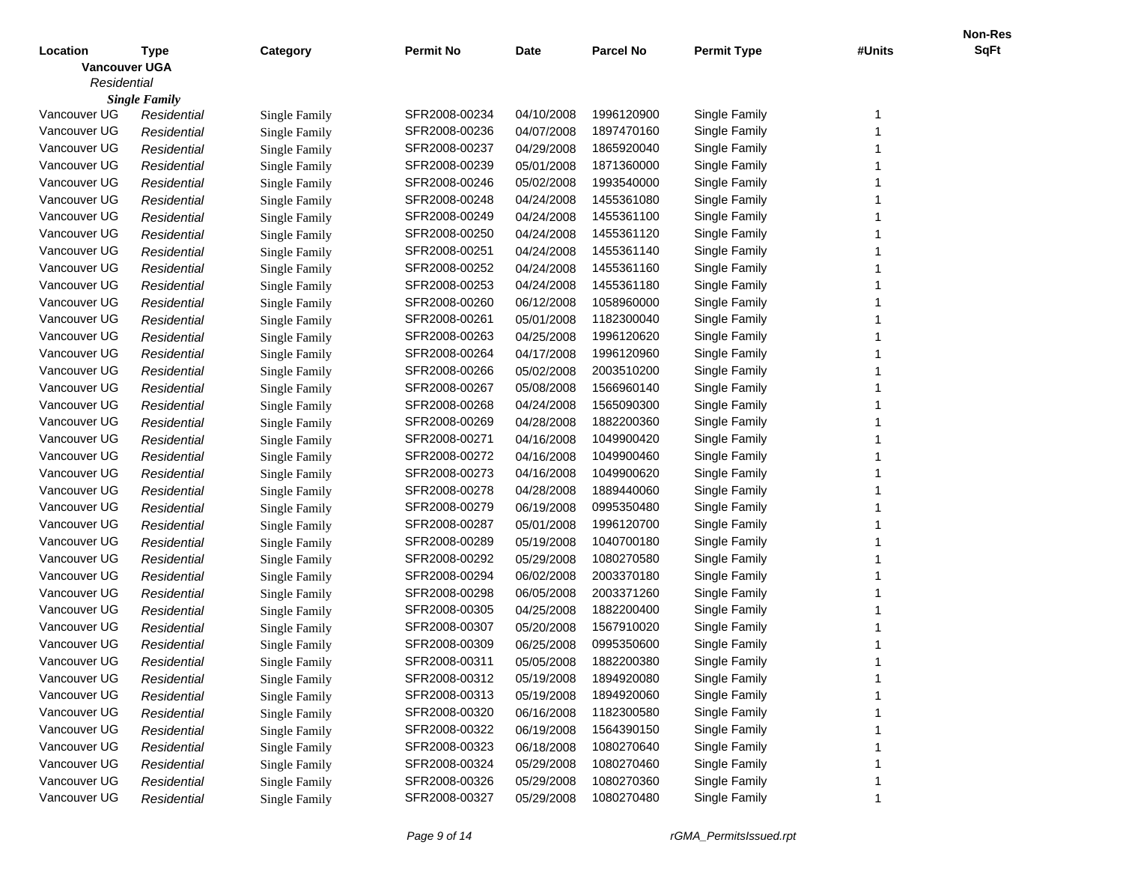|                      |                      |                      |                  |             |                  |                    |        | Non-Res     |
|----------------------|----------------------|----------------------|------------------|-------------|------------------|--------------------|--------|-------------|
| Location             | <b>Type</b>          | Category             | <b>Permit No</b> | <b>Date</b> | <b>Parcel No</b> | <b>Permit Type</b> | #Units | <b>SqFt</b> |
| <b>Vancouver UGA</b> |                      |                      |                  |             |                  |                    |        |             |
| Residential          |                      |                      |                  |             |                  |                    |        |             |
|                      | <b>Single Family</b> |                      |                  |             |                  |                    |        |             |
| Vancouver UG         | Residential          | Single Family        | SFR2008-00234    | 04/10/2008  | 1996120900       | Single Family      | -1     |             |
| Vancouver UG         | Residential          | <b>Single Family</b> | SFR2008-00236    | 04/07/2008  | 1897470160       | Single Family      |        |             |
| Vancouver UG         | Residential          | <b>Single Family</b> | SFR2008-00237    | 04/29/2008  | 1865920040       | Single Family      |        |             |
| Vancouver UG         | Residential          | <b>Single Family</b> | SFR2008-00239    | 05/01/2008  | 1871360000       | Single Family      |        |             |
| Vancouver UG         | Residential          | <b>Single Family</b> | SFR2008-00246    | 05/02/2008  | 1993540000       | Single Family      |        |             |
| Vancouver UG         | Residential          | <b>Single Family</b> | SFR2008-00248    | 04/24/2008  | 1455361080       | Single Family      |        |             |
| Vancouver UG         | Residential          | <b>Single Family</b> | SFR2008-00249    | 04/24/2008  | 1455361100       | Single Family      |        |             |
| Vancouver UG         | Residential          | <b>Single Family</b> | SFR2008-00250    | 04/24/2008  | 1455361120       | Single Family      |        |             |
| Vancouver UG         | Residential          | <b>Single Family</b> | SFR2008-00251    | 04/24/2008  | 1455361140       | Single Family      |        |             |
| Vancouver UG         | Residential          | <b>Single Family</b> | SFR2008-00252    | 04/24/2008  | 1455361160       | Single Family      |        |             |
| Vancouver UG         | Residential          | <b>Single Family</b> | SFR2008-00253    | 04/24/2008  | 1455361180       | Single Family      |        |             |
| Vancouver UG         | Residential          | <b>Single Family</b> | SFR2008-00260    | 06/12/2008  | 1058960000       | Single Family      |        |             |
| Vancouver UG         | Residential          | <b>Single Family</b> | SFR2008-00261    | 05/01/2008  | 1182300040       | Single Family      |        |             |
| Vancouver UG         | Residential          | <b>Single Family</b> | SFR2008-00263    | 04/25/2008  | 1996120620       | Single Family      |        |             |
| Vancouver UG         | Residential          | <b>Single Family</b> | SFR2008-00264    | 04/17/2008  | 1996120960       | Single Family      |        |             |
| Vancouver UG         | Residential          | <b>Single Family</b> | SFR2008-00266    | 05/02/2008  | 2003510200       | Single Family      |        |             |
| Vancouver UG         | Residential          | <b>Single Family</b> | SFR2008-00267    | 05/08/2008  | 1566960140       | Single Family      |        |             |
| Vancouver UG         | Residential          | <b>Single Family</b> | SFR2008-00268    | 04/24/2008  | 1565090300       | Single Family      |        |             |
| Vancouver UG         | Residential          | <b>Single Family</b> | SFR2008-00269    | 04/28/2008  | 1882200360       | Single Family      |        |             |
| Vancouver UG         | Residential          | <b>Single Family</b> | SFR2008-00271    | 04/16/2008  | 1049900420       | Single Family      |        |             |
| Vancouver UG         | Residential          | <b>Single Family</b> | SFR2008-00272    | 04/16/2008  | 1049900460       | Single Family      |        |             |
| Vancouver UG         | Residential          | <b>Single Family</b> | SFR2008-00273    | 04/16/2008  | 1049900620       | Single Family      |        |             |
| Vancouver UG         | Residential          | <b>Single Family</b> | SFR2008-00278    | 04/28/2008  | 1889440060       | Single Family      |        |             |
| Vancouver UG         | Residential          | <b>Single Family</b> | SFR2008-00279    | 06/19/2008  | 0995350480       | Single Family      |        |             |
| Vancouver UG         | Residential          | <b>Single Family</b> | SFR2008-00287    | 05/01/2008  | 1996120700       | Single Family      |        |             |
| Vancouver UG         | Residential          | <b>Single Family</b> | SFR2008-00289    | 05/19/2008  | 1040700180       | Single Family      |        |             |
| Vancouver UG         | Residential          | <b>Single Family</b> | SFR2008-00292    | 05/29/2008  | 1080270580       | Single Family      |        |             |
| Vancouver UG         | Residential          | <b>Single Family</b> | SFR2008-00294    | 06/02/2008  | 2003370180       | Single Family      |        |             |
| Vancouver UG         | Residential          | <b>Single Family</b> | SFR2008-00298    | 06/05/2008  | 2003371260       | Single Family      |        |             |
| Vancouver UG         | Residential          | <b>Single Family</b> | SFR2008-00305    | 04/25/2008  | 1882200400       | Single Family      |        |             |
| Vancouver UG         | Residential          | <b>Single Family</b> | SFR2008-00307    | 05/20/2008  | 1567910020       | Single Family      |        |             |
| Vancouver UG         | Residential          | <b>Single Family</b> | SFR2008-00309    | 06/25/2008  | 0995350600       | Single Family      |        |             |
| Vancouver UG         | Residential          | Single Family        | SFR2008-00311    | 05/05/2008  | 1882200380       | Single Family      |        |             |
| Vancouver UG         | Residential          | <b>Single Family</b> | SFR2008-00312    | 05/19/2008  | 1894920080       | Single Family      |        |             |
| Vancouver UG         | Residential          | Single Family        | SFR2008-00313    | 05/19/2008  | 1894920060       | Single Family      |        |             |
| Vancouver UG         | Residential          | Single Family        | SFR2008-00320    | 06/16/2008  | 1182300580       | Single Family      |        |             |
| Vancouver UG         | Residential          | Single Family        | SFR2008-00322    | 06/19/2008  | 1564390150       | Single Family      |        |             |
| Vancouver UG         | Residential          | Single Family        | SFR2008-00323    | 06/18/2008  | 1080270640       | Single Family      |        |             |
| Vancouver UG         | Residential          | Single Family        | SFR2008-00324    | 05/29/2008  | 1080270460       | Single Family      |        |             |
| Vancouver UG         | Residential          | <b>Single Family</b> | SFR2008-00326    | 05/29/2008  | 1080270360       | Single Family      |        |             |
| Vancouver UG         | Residential          | <b>Single Family</b> | SFR2008-00327    | 05/29/2008  | 1080270480       | Single Family      |        |             |
|                      |                      |                      |                  |             |                  |                    |        |             |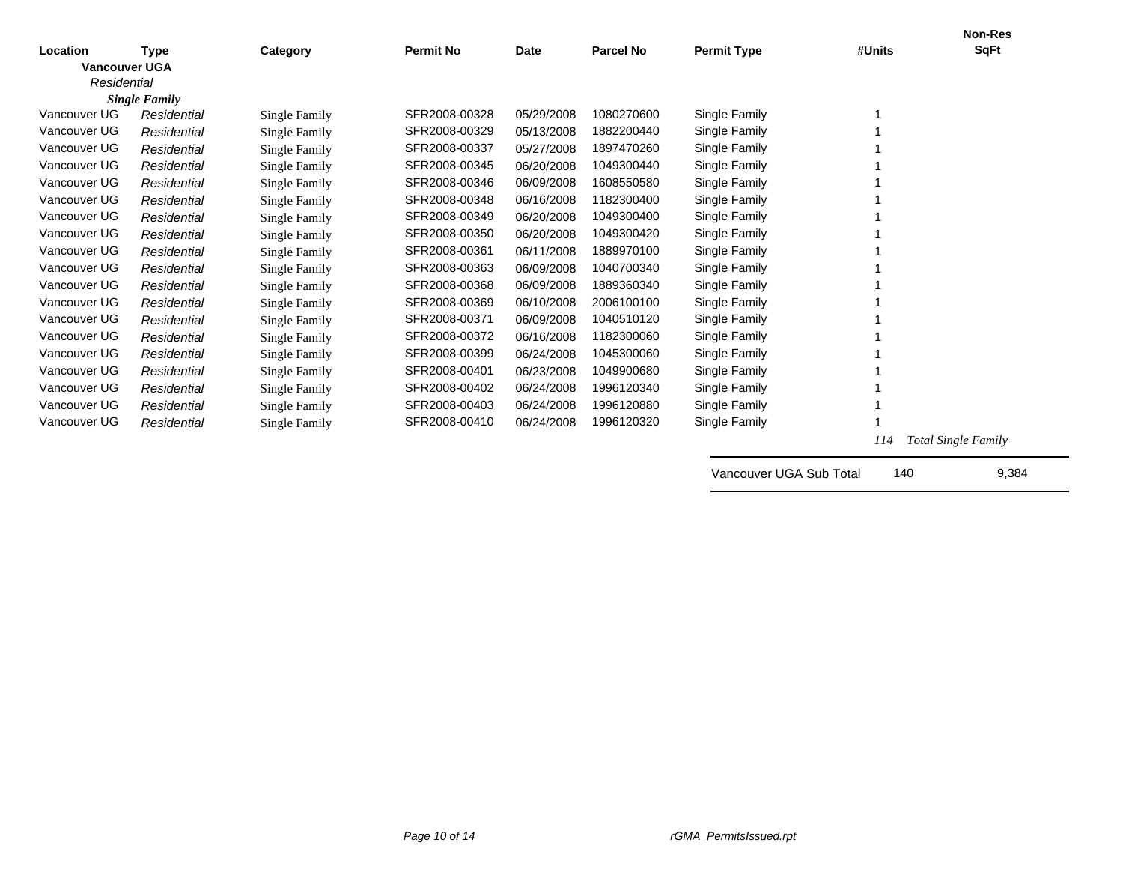|                      |                      |               |                  |             |                  |                         |        | <b>Non-Res</b>             |
|----------------------|----------------------|---------------|------------------|-------------|------------------|-------------------------|--------|----------------------------|
| Location             | Type                 | Category      | <b>Permit No</b> | <b>Date</b> | <b>Parcel No</b> | <b>Permit Type</b>      | #Units | <b>SqFt</b>                |
| <b>Vancouver UGA</b> |                      |               |                  |             |                  |                         |        |                            |
| Residential          |                      |               |                  |             |                  |                         |        |                            |
|                      | <b>Single Family</b> |               |                  |             |                  |                         |        |                            |
| Vancouver UG         | Residential          | Single Family | SFR2008-00328    | 05/29/2008  | 1080270600       | Single Family           |        |                            |
| Vancouver UG         | Residential          | Single Family | SFR2008-00329    | 05/13/2008  | 1882200440       | Single Family           |        |                            |
| Vancouver UG         | Residential          | Single Family | SFR2008-00337    | 05/27/2008  | 1897470260       | Single Family           |        |                            |
| Vancouver UG         | Residential          | Single Family | SFR2008-00345    | 06/20/2008  | 1049300440       | Single Family           |        |                            |
| Vancouver UG         | Residential          | Single Family | SFR2008-00346    | 06/09/2008  | 1608550580       | Single Family           |        |                            |
| Vancouver UG         | Residential          | Single Family | SFR2008-00348    | 06/16/2008  | 1182300400       | Single Family           |        |                            |
| Vancouver UG         | Residential          | Single Family | SFR2008-00349    | 06/20/2008  | 1049300400       | Single Family           |        |                            |
| Vancouver UG         | Residential          | Single Family | SFR2008-00350    | 06/20/2008  | 1049300420       | Single Family           |        |                            |
| Vancouver UG         | Residential          | Single Family | SFR2008-00361    | 06/11/2008  | 1889970100       | Single Family           |        |                            |
| Vancouver UG         | Residential          | Single Family | SFR2008-00363    | 06/09/2008  | 1040700340       | Single Family           |        |                            |
| Vancouver UG         | Residential          | Single Family | SFR2008-00368    | 06/09/2008  | 1889360340       | Single Family           |        |                            |
| Vancouver UG         | Residential          | Single Family | SFR2008-00369    | 06/10/2008  | 2006100100       | Single Family           |        |                            |
| Vancouver UG         | Residential          | Single Family | SFR2008-00371    | 06/09/2008  | 1040510120       | Single Family           |        |                            |
| Vancouver UG         | Residential          | Single Family | SFR2008-00372    | 06/16/2008  | 1182300060       | Single Family           |        |                            |
| Vancouver UG         | Residential          | Single Family | SFR2008-00399    | 06/24/2008  | 1045300060       | Single Family           |        |                            |
| Vancouver UG         | Residential          | Single Family | SFR2008-00401    | 06/23/2008  | 1049900680       | Single Family           |        |                            |
| Vancouver UG         | Residential          | Single Family | SFR2008-00402    | 06/24/2008  | 1996120340       | Single Family           |        |                            |
| Vancouver UG         | Residential          | Single Family | SFR2008-00403    | 06/24/2008  | 1996120880       | Single Family           |        |                            |
| Vancouver UG         | Residential          | Single Family | SFR2008-00410    | 06/24/2008  | 1996120320       | Single Family           |        |                            |
|                      |                      |               |                  |             |                  |                         | 114    | <b>Total Single Family</b> |
|                      |                      |               |                  |             |                  |                         |        |                            |
|                      |                      |               |                  |             |                  | Vancouver UGA Sub Total | 140    | 9,384                      |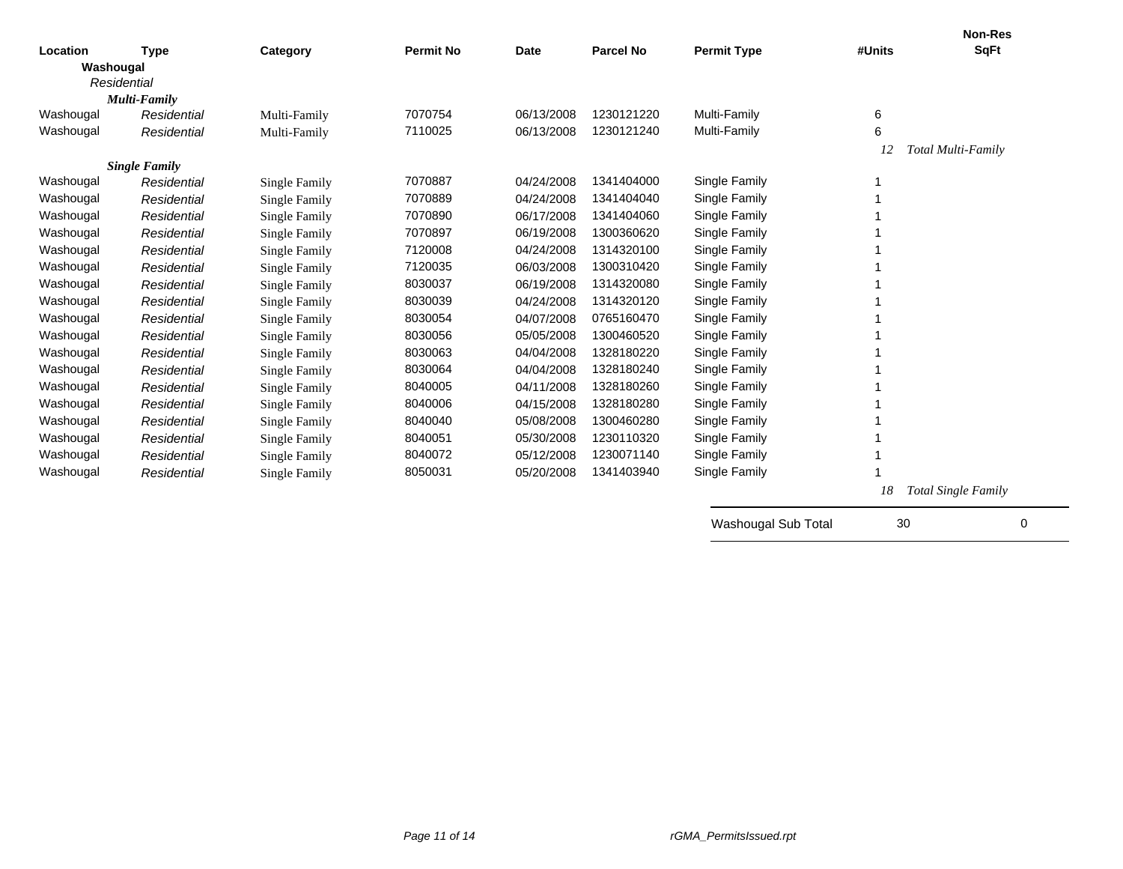|           |                      |                      |                  |             |                  |                     |         | <b>Non-Res</b>      |
|-----------|----------------------|----------------------|------------------|-------------|------------------|---------------------|---------|---------------------|
| Location  | <b>Type</b>          | Category             | <b>Permit No</b> | <b>Date</b> | <b>Parcel No</b> | <b>Permit Type</b>  | #Units  | <b>SqFt</b>         |
| Washougal |                      |                      |                  |             |                  |                     |         |                     |
|           | Residential          |                      |                  |             |                  |                     |         |                     |
|           | Multi-Family         |                      |                  |             |                  |                     |         |                     |
| Washougal | Residential          | Multi-Family         | 7070754          | 06/13/2008  | 1230121220       | Multi-Family        | $\,6\,$ |                     |
| Washougal | Residential          | Multi-Family         | 7110025          | 06/13/2008  | 1230121240       | Multi-Family        | 6       |                     |
|           |                      |                      |                  |             |                  |                     | 12      | Total Multi-Family  |
|           | <b>Single Family</b> |                      |                  |             |                  |                     |         |                     |
| Washougal | Residential          | Single Family        | 7070887          | 04/24/2008  | 1341404000       | Single Family       |         |                     |
| Washougal | Residential          | Single Family        | 7070889          | 04/24/2008  | 1341404040       | Single Family       |         |                     |
| Washougal | Residential          | <b>Single Family</b> | 7070890          | 06/17/2008  | 1341404060       | Single Family       |         |                     |
| Washougal | Residential          | Single Family        | 7070897          | 06/19/2008  | 1300360620       | Single Family       |         |                     |
| Washougal | Residential          | <b>Single Family</b> | 7120008          | 04/24/2008  | 1314320100       | Single Family       |         |                     |
| Washougal | Residential          | <b>Single Family</b> | 7120035          | 06/03/2008  | 1300310420       | Single Family       |         |                     |
| Washougal | Residential          | <b>Single Family</b> | 8030037          | 06/19/2008  | 1314320080       | Single Family       |         |                     |
| Washougal | Residential          | <b>Single Family</b> | 8030039          | 04/24/2008  | 1314320120       | Single Family       |         |                     |
| Washougal | Residential          | <b>Single Family</b> | 8030054          | 04/07/2008  | 0765160470       | Single Family       |         |                     |
| Washougal | Residential          | <b>Single Family</b> | 8030056          | 05/05/2008  | 1300460520       | Single Family       |         |                     |
| Washougal | Residential          | <b>Single Family</b> | 8030063          | 04/04/2008  | 1328180220       | Single Family       |         |                     |
| Washougal | Residential          | <b>Single Family</b> | 8030064          | 04/04/2008  | 1328180240       | Single Family       |         |                     |
| Washougal | Residential          | <b>Single Family</b> | 8040005          | 04/11/2008  | 1328180260       | Single Family       |         |                     |
| Washougal | Residential          | <b>Single Family</b> | 8040006          | 04/15/2008  | 1328180280       | Single Family       |         |                     |
| Washougal | Residential          | <b>Single Family</b> | 8040040          | 05/08/2008  | 1300460280       | Single Family       |         |                     |
| Washougal | Residential          | Single Family        | 8040051          | 05/30/2008  | 1230110320       | Single Family       |         |                     |
| Washougal | Residential          | Single Family        | 8040072          | 05/12/2008  | 1230071140       | Single Family       |         |                     |
| Washougal | Residential          | Single Family        | 8050031          | 05/20/2008  | 1341403940       | Single Family       |         |                     |
|           |                      |                      |                  |             |                  |                     | 18      | Total Single Family |
|           |                      |                      |                  |             |                  |                     |         |                     |
|           |                      |                      |                  |             |                  | Washougal Sub Total | 30      | 0                   |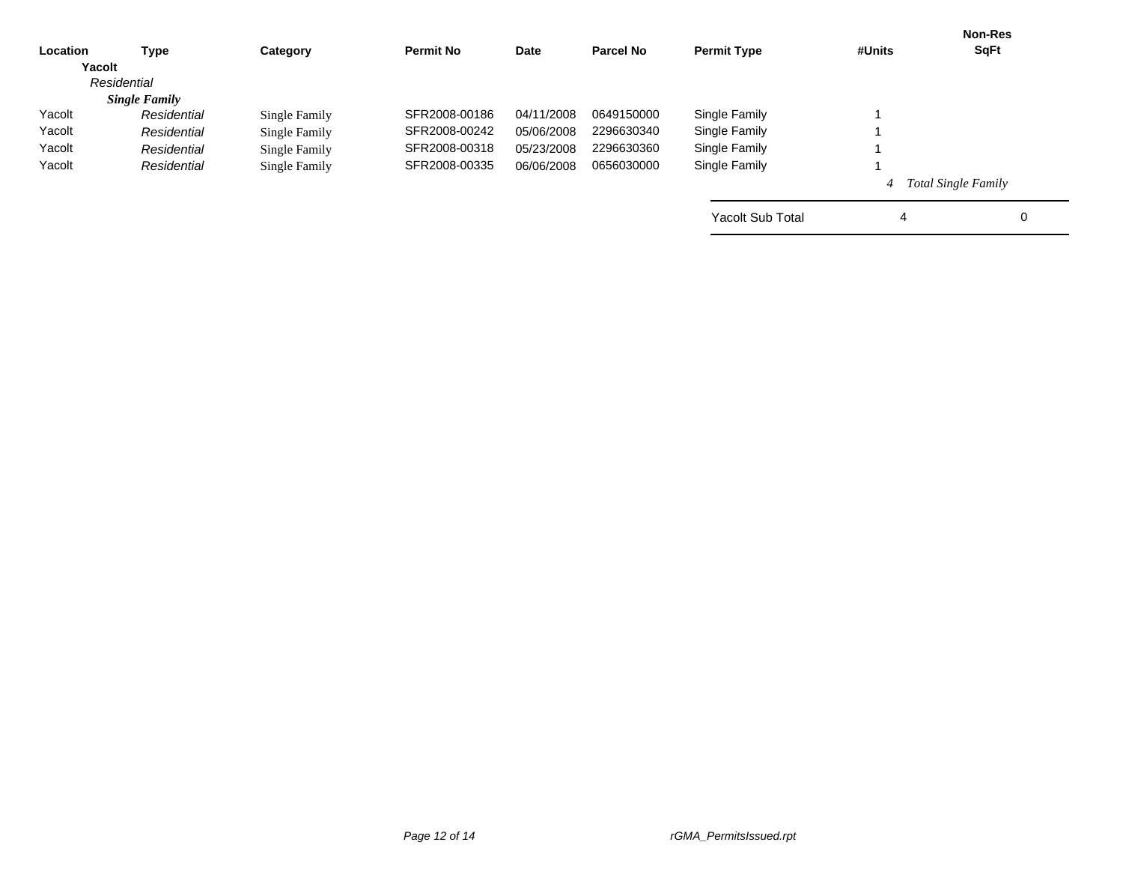|          |                      |               |                  |             |                  |                         |        | <b>Non-Res</b>             |
|----------|----------------------|---------------|------------------|-------------|------------------|-------------------------|--------|----------------------------|
| Location | Type                 | Category      | <b>Permit No</b> | <b>Date</b> | <b>Parcel No</b> | <b>Permit Type</b>      | #Units | <b>SqFt</b>                |
| Yacolt   |                      |               |                  |             |                  |                         |        |                            |
|          | Residential          |               |                  |             |                  |                         |        |                            |
|          | <b>Single Family</b> |               |                  |             |                  |                         |        |                            |
| Yacolt   | Residential          | Single Family | SFR2008-00186    | 04/11/2008  | 0649150000       | Single Family           |        |                            |
| Yacolt   | Residential          | Single Family | SFR2008-00242    | 05/06/2008  | 2296630340       | Single Family           |        |                            |
| Yacolt   | Residential          | Single Family | SFR2008-00318    | 05/23/2008  | 2296630360       | Single Family           |        |                            |
| Yacolt   | Residential          | Single Family | SFR2008-00335    | 06/06/2008  | 0656030000       | Single Family           |        |                            |
|          |                      |               |                  |             |                  |                         |        | <b>Total Single Family</b> |
|          |                      |               |                  |             |                  | <b>Yacolt Sub Total</b> | 4      | 0                          |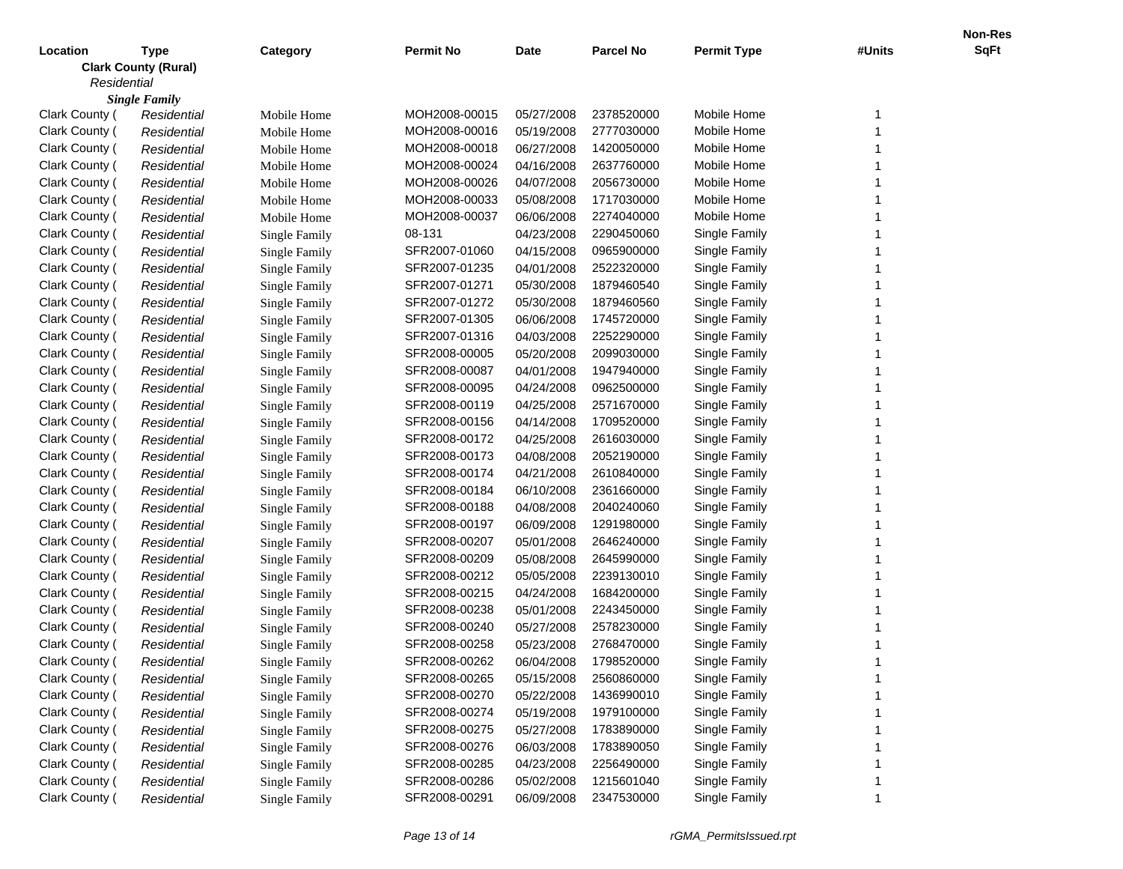|                |                             |                      |                  |             |                  |                    |        | <b>Non-Res</b> |
|----------------|-----------------------------|----------------------|------------------|-------------|------------------|--------------------|--------|----------------|
| Location       | Type                        | Category             | <b>Permit No</b> | <b>Date</b> | <b>Parcel No</b> | <b>Permit Type</b> | #Units | <b>SqFt</b>    |
|                | <b>Clark County (Rural)</b> |                      |                  |             |                  |                    |        |                |
| Residential    |                             |                      |                  |             |                  |                    |        |                |
|                | <b>Single Family</b>        |                      |                  |             |                  |                    |        |                |
| Clark County   | Residential                 | Mobile Home          | MOH2008-00015    | 05/27/2008  | 2378520000       | Mobile Home        |        |                |
| Clark County ( | Residential                 | Mobile Home          | MOH2008-00016    | 05/19/2008  | 2777030000       | Mobile Home        |        |                |
| Clark County ( | Residential                 | Mobile Home          | MOH2008-00018    | 06/27/2008  | 1420050000       | Mobile Home        |        |                |
| Clark County ( | Residential                 | Mobile Home          | MOH2008-00024    | 04/16/2008  | 2637760000       | Mobile Home        |        |                |
| Clark County ( | Residential                 | Mobile Home          | MOH2008-00026    | 04/07/2008  | 2056730000       | Mobile Home        |        |                |
| Clark County ( | Residential                 | Mobile Home          | MOH2008-00033    | 05/08/2008  | 1717030000       | Mobile Home        |        |                |
| Clark County ( | Residential                 | Mobile Home          | MOH2008-00037    | 06/06/2008  | 2274040000       | Mobile Home        |        |                |
| Clark County ( | Residential                 | <b>Single Family</b> | 08-131           | 04/23/2008  | 2290450060       | Single Family      |        |                |
| Clark County ( | Residential                 | <b>Single Family</b> | SFR2007-01060    | 04/15/2008  | 0965900000       | Single Family      |        |                |
| Clark County ( | Residential                 | <b>Single Family</b> | SFR2007-01235    | 04/01/2008  | 2522320000       | Single Family      |        |                |
| Clark County ( | Residential                 | <b>Single Family</b> | SFR2007-01271    | 05/30/2008  | 1879460540       | Single Family      |        |                |
| Clark County ( | Residential                 | <b>Single Family</b> | SFR2007-01272    | 05/30/2008  | 1879460560       | Single Family      |        |                |
| Clark County ( | Residential                 | <b>Single Family</b> | SFR2007-01305    | 06/06/2008  | 1745720000       | Single Family      |        |                |
| Clark County ( | Residential                 | <b>Single Family</b> | SFR2007-01316    | 04/03/2008  | 2252290000       | Single Family      |        |                |
| Clark County ( | Residential                 | <b>Single Family</b> | SFR2008-00005    | 05/20/2008  | 2099030000       | Single Family      |        |                |
| Clark County ( | Residential                 | <b>Single Family</b> | SFR2008-00087    | 04/01/2008  | 1947940000       | Single Family      |        |                |
| Clark County ( | Residential                 | <b>Single Family</b> | SFR2008-00095    | 04/24/2008  | 0962500000       | Single Family      |        |                |
| Clark County ( | Residential                 | <b>Single Family</b> | SFR2008-00119    | 04/25/2008  | 2571670000       | Single Family      |        |                |
| Clark County ( | Residential                 | <b>Single Family</b> | SFR2008-00156    | 04/14/2008  | 1709520000       | Single Family      |        |                |
| Clark County ( | Residential                 | <b>Single Family</b> | SFR2008-00172    | 04/25/2008  | 2616030000       | Single Family      |        |                |
| Clark County ( | Residential                 | <b>Single Family</b> | SFR2008-00173    | 04/08/2008  | 2052190000       | Single Family      |        |                |
| Clark County ( | Residential                 | <b>Single Family</b> | SFR2008-00174    | 04/21/2008  | 2610840000       | Single Family      |        |                |
| Clark County ( | Residential                 | <b>Single Family</b> | SFR2008-00184    | 06/10/2008  | 2361660000       | Single Family      |        |                |
| Clark County ( | Residential                 | <b>Single Family</b> | SFR2008-00188    | 04/08/2008  | 2040240060       | Single Family      |        |                |
| Clark County ( | Residential                 | <b>Single Family</b> | SFR2008-00197    | 06/09/2008  | 1291980000       | Single Family      |        |                |
| Clark County ( | Residential                 | <b>Single Family</b> | SFR2008-00207    | 05/01/2008  | 2646240000       | Single Family      |        |                |
| Clark County ( | Residential                 | <b>Single Family</b> | SFR2008-00209    | 05/08/2008  | 2645990000       | Single Family      |        |                |
| Clark County ( | Residential                 | Single Family        | SFR2008-00212    | 05/05/2008  | 2239130010       | Single Family      |        |                |
| Clark County ( | Residential                 | <b>Single Family</b> | SFR2008-00215    | 04/24/2008  | 1684200000       | Single Family      |        |                |
| Clark County ( | Residential                 | Single Family        | SFR2008-00238    | 05/01/2008  | 2243450000       | Single Family      |        |                |
| Clark County ( | Residential                 | Single Family        | SFR2008-00240    | 05/27/2008  | 2578230000       | Single Family      |        |                |
| Clark County ( | Residential                 | Single Family        | SFR2008-00258    | 05/23/2008  | 2768470000       | Single Family      |        |                |
| Clark County ( | Residential                 | Single Family        | SFR2008-00262    | 06/04/2008  | 1798520000       | Single Family      |        |                |
| Clark County ( | Residential                 | Single Family        | SFR2008-00265    | 05/15/2008  | 2560860000       | Single Family      |        |                |
| Clark County ( | Residential                 | Single Family        | SFR2008-00270    | 05/22/2008  | 1436990010       | Single Family      |        |                |
| Clark County ( | Residential                 | Single Family        | SFR2008-00274    | 05/19/2008  | 1979100000       | Single Family      |        |                |
| Clark County ( | Residential                 | <b>Single Family</b> | SFR2008-00275    | 05/27/2008  | 1783890000       | Single Family      |        |                |
| Clark County ( | Residential                 | Single Family        | SFR2008-00276    | 06/03/2008  | 1783890050       | Single Family      |        |                |
| Clark County ( | Residential                 | Single Family        | SFR2008-00285    | 04/23/2008  | 2256490000       | Single Family      |        |                |
| Clark County ( | Residential                 | Single Family        | SFR2008-00286    | 05/02/2008  | 1215601040       | Single Family      |        |                |
| Clark County ( |                             |                      | SFR2008-00291    | 06/09/2008  | 2347530000       | Single Family      |        |                |
|                | Residential                 | Single Family        |                  |             |                  |                    |        |                |